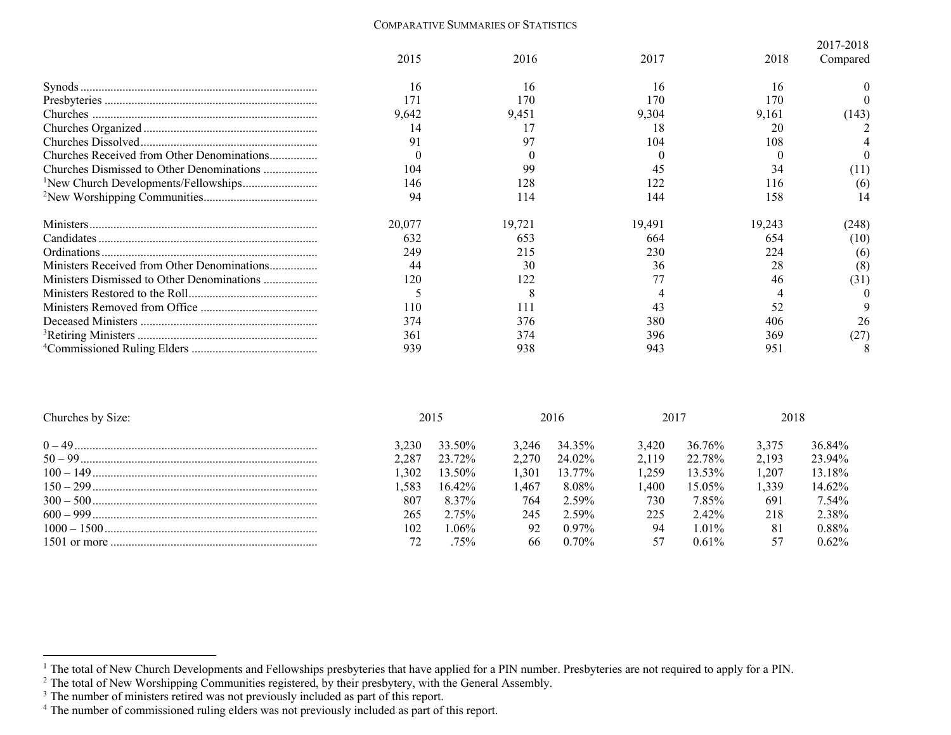## COMPARATIVE SUMMARIES OF STATISTICS

|                                                  |        |        |        |        | 2017-2018 |
|--------------------------------------------------|--------|--------|--------|--------|-----------|
|                                                  | 2015   | 2016   | 2017   | 2018   | Compared  |
|                                                  | 16     | 16     | 16     | 16     |           |
|                                                  |        | 170    | 170    | 170    |           |
|                                                  | 9,642  | 9,451  | 9,304  | 9,161  | (143)     |
|                                                  | 14     |        | 18     | 20     |           |
|                                                  | 91     |        | 104    | 108    |           |
|                                                  |        |        |        |        |           |
| Churches Dismissed to Other Denominations        | 104    | 99     |        | 34     | (11)      |
| <sup>1</sup> New Church Developments/Fellowships | 146    |        |        | 116    | (6)       |
|                                                  | 94     | 114    | 144    | 158    |           |
|                                                  | 20,077 | 19,721 | 19,491 | 19,243 | (248)     |
|                                                  | 632    | 653    | 664    | 654    | (10)      |
|                                                  | 249    | 215    | 230    | 224    | (6)       |
| Ministers Received from Other Denominations      | 44     | 30     | 36     | 28     | (8)       |
| Ministers Dismissed to Other Denominations       | 120    | 122    |        | 46     | (31)      |
|                                                  |        |        |        |        |           |
|                                                  | 110    |        |        | 52     |           |
|                                                  | 374    | 376    | 380    | 406    | 26        |
|                                                  | 361    | 374    | 396    | 369    | (27       |
|                                                  | 939    | 938    | 943    | 951    |           |

| Churches by Size: |       | 2015      |       | 2016     | 2017  |           | 2018  |          |
|-------------------|-------|-----------|-------|----------|-------|-----------|-------|----------|
|                   | 3.230 | 33.50%    | 3.246 | 34.35%   | 3.420 | 36.76%    | 3.375 | 36.84%   |
|                   | 2.287 | 23.72%    | 2.270 | 24.02%   | 2.119 | 22.78%    | 2.193 | 23.94%   |
|                   | 1.302 | 13.50%    | 1.301 | 13.77%   | 1259  | 13.53%    | 1.207 | 13.18%   |
|                   | .583  | $16.42\%$ | .467  | 8.08%    | .400  | $15.05\%$ | 1.339 | 14.62%   |
|                   | 807   | 8.37%     | 764   | $2.59\%$ | 730   | 7.85%     | 691   | 7.54%    |
|                   | 265   | 2.75%     | 245   | 2.59%    | 225   | $2.42\%$  | 218   | 2.38%    |
|                   | 102   | $.06\%$   | 92    | $0.97\%$ | 94    | $1.01\%$  | 81    | $0.88\%$ |
|                   |       | 75%       | 66    | $0.70\%$ |       | $0.61\%$  |       | $0.62\%$ |

<sup>&</sup>lt;sup>1</sup> The total of New Church Developments and Fellowships presbyteries that have applied for a PIN number. Presbyteries are not required to apply for a PIN.

 $2$  The total of New Worshipping Communities registered, by their presbytery, with the General Assembly.

<sup>&</sup>lt;sup>3</sup> The number of ministers retired was not previously included as part of this report.

<sup>&</sup>lt;sup>4</sup> The number of commissioned ruling elders was not previously included as part of this report.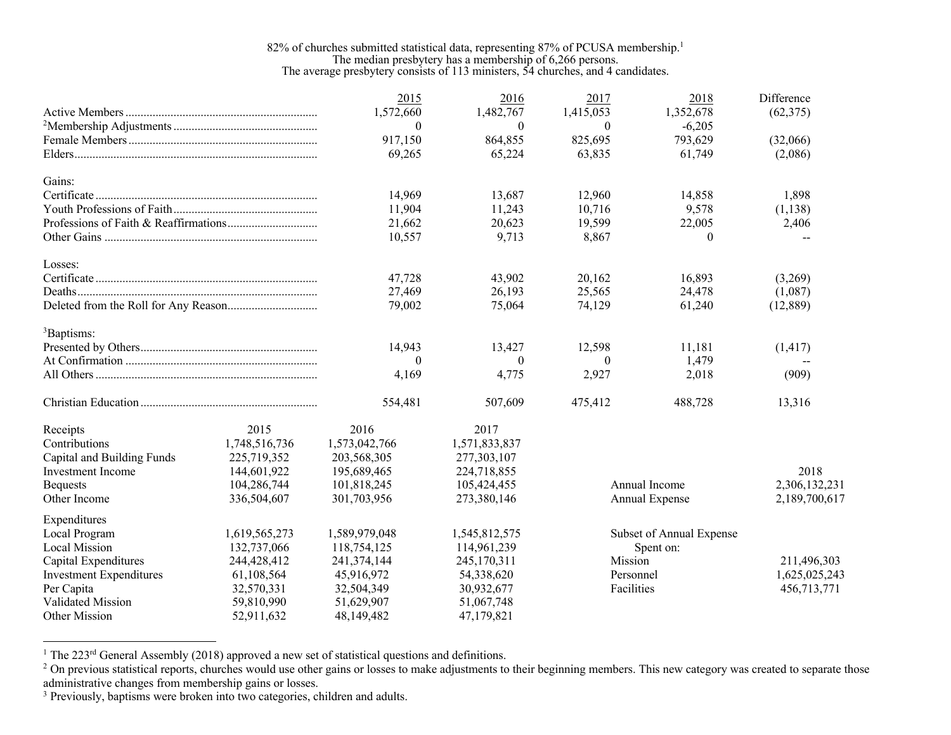## 82% of churches submitted statistical data, representing 87% of PCUSA membership.<sup>1</sup> The median presbytery has a membership of 6,266 persons. The average presbytery consists of 113 ministers, 54 churches, and 4 candidates.

|                                |               | 2015           | 2016          | 2017       | 2018                     | Difference    |
|--------------------------------|---------------|----------------|---------------|------------|--------------------------|---------------|
|                                |               | 1,572,660      | 1,482,767     | 1,415,053  | 1,352,678                | (62, 375)     |
|                                |               | $\theta$       | $\theta$      | $\theta$   | $-6,205$                 |               |
|                                |               | 917,150        | 864,855       | 825,695    | 793,629                  | (32,066)      |
|                                |               | 69,265         | 65,224        | 63,835     | 61,749                   | (2,086)       |
| Gains:                         |               |                |               |            |                          |               |
|                                |               | 14,969         | 13,687        | 12,960     | 14,858                   | 1,898         |
|                                |               | 11,904         | 11,243        | 10,716     | 9,578                    | (1, 138)      |
|                                |               | 21,662         | 20,623        | 19,599     | 22,005                   | 2,406         |
|                                |               | 10,557         | 9,713         | 8,867      | $\theta$                 |               |
| Losses:                        |               |                |               |            |                          |               |
|                                |               | 47,728         | 43,902        | 20,162     | 16,893                   | (3,269)       |
|                                |               | 27,469         | 26,193        | 25,565     | 24,478                   | (1,087)       |
|                                |               | 79,002         | 75,064        | 74,129     | 61,240                   | (12, 889)     |
| <sup>3</sup> Baptisms:         |               |                |               |            |                          |               |
|                                |               | 14,943         | 13,427        | 12,598     | 11,181                   | (1, 417)      |
|                                |               | $\overline{0}$ | $\theta$      | $\theta$   | 1,479                    |               |
|                                |               | 4,169          | 4,775         | 2,927      | 2,018                    | (909)         |
|                                |               | 554,481        | 507,609       | 475,412    | 488,728                  | 13,316        |
| Receipts                       | 2015          | 2016           | 2017          |            |                          |               |
| Contributions                  | 1,748,516,736 | 1,573,042,766  | 1,571,833,837 |            |                          |               |
| Capital and Building Funds     | 225,719,352   | 203,568,305    | 277,303,107   |            |                          |               |
| <b>Investment Income</b>       | 144,601,922   | 195,689,465    | 224,718,855   |            |                          | 2018          |
| <b>Bequests</b>                | 104,286,744   | 101,818,245    | 105,424,455   |            | Annual Income            | 2,306,132,231 |
| Other Income                   | 336,504,607   | 301,703,956    | 273,380,146   |            | Annual Expense           | 2,189,700,617 |
| Expenditures                   |               |                |               |            |                          |               |
| Local Program                  | 1,619,565,273 | 1,589,979,048  | 1,545,812,575 |            | Subset of Annual Expense |               |
| Local Mission                  | 132,737,066   | 118,754,125    | 114,961,239   |            | Spent on:                |               |
| Capital Expenditures           | 244,428,412   | 241,374,144    | 245,170,311   | Mission    |                          | 211,496,303   |
| <b>Investment Expenditures</b> | 61,108,564    | 45,916,972     | 54,338,620    | Personnel  |                          | 1,625,025,243 |
| Per Capita                     | 32,570,331    | 32,504,349     | 30,932,677    | Facilities |                          | 456,713,771   |
| Validated Mission              | 59,810,990    | 51,629,907     | 51,067,748    |            |                          |               |
| <b>Other Mission</b>           | 52,911,632    | 48,149,482     | 47,179,821    |            |                          |               |

<sup>1</sup> The 223<sup>rd</sup> General Assembly (2018) approved a new set of statistical questions and definitions.

<sup>&</sup>lt;sup>2</sup> On previous statistical reports, churches would use other gains or losses to make adjustments to their beginning members. This new category was created to separate those administrative changes from membership gains or losses.

<sup>&</sup>lt;sup>3</sup> Previously, baptisms were broken into two categories, children and adults.